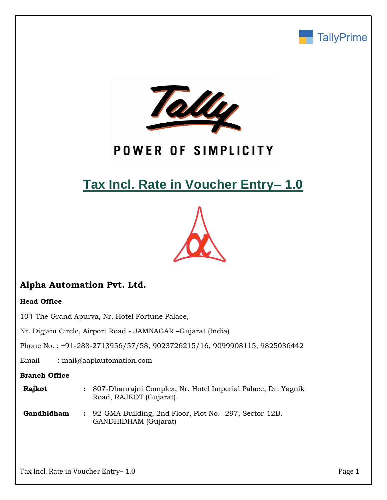



# POWER OF SIMPLICITY

# **Tax Incl. Rate in Voucher Entry– 1.0**



# **Alpha Automation Pvt. Ltd.**

## **Head Office**

104-The Grand Apurva, Nr. Hotel Fortune Palace,

Nr. Digjam Circle, Airport Road - JAMNAGAR –Gujarat (India)

Phone No. : +91-288-2713956/57/58, 9023726215/16, 9099908115, 9825036442

Email : mail@aaplautomation.com

### **Branch Office**

| <b>Rajkot</b> | : 807-Dhanrajni Complex, Nr. Hotel Imperial Palace, Dr. Yagnik |
|---------------|----------------------------------------------------------------|
|               | Road, RAJKOT (Gujarat).                                        |

**Gandhidham :** 92-GMA Building, 2nd Floor, Plot No. -297, Sector-12B. GANDHIDHAM (Gujarat)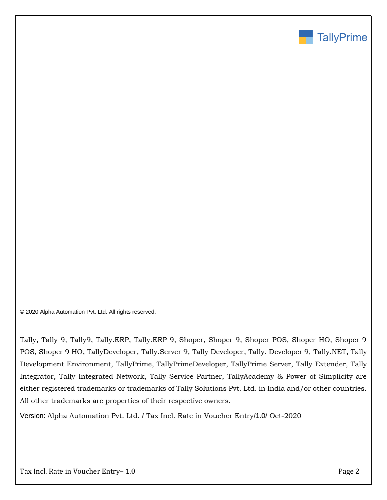

© 2020 Alpha Automation Pvt. Ltd. All rights reserved.

Tally, Tally 9, Tally9, Tally.ERP, Tally.ERP 9, Shoper, Shoper 9, Shoper POS, Shoper HO, Shoper 9 POS, Shoper 9 HO, TallyDeveloper, Tally.Server 9, Tally Developer, Tally. Developer 9, Tally.NET, Tally Development Environment, TallyPrime, TallyPrimeDeveloper, TallyPrime Server, Tally Extender, Tally Integrator, Tally Integrated Network, Tally Service Partner, TallyAcademy & Power of Simplicity are either registered trademarks or trademarks of Tally Solutions Pvt. Ltd. in India and/or other countries. All other trademarks are properties of their respective owners.

Version: Alpha Automation Pvt. Ltd. / Tax Incl. Rate in Voucher Entry/1.0/ Oct-2020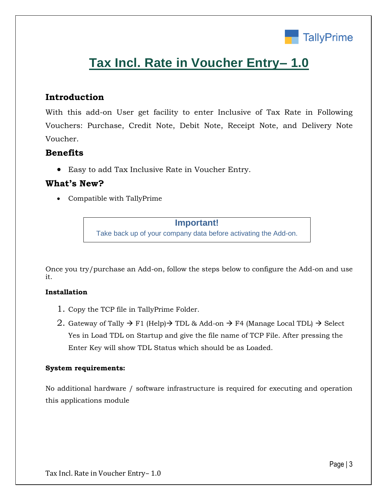

# **Tax Incl. Rate in Voucher Entry– 1.0**

## **Introduction**

With this add-on User get facility to enter Inclusive of Tax Rate in Following Vouchers: Purchase, Credit Note, Debit Note, Receipt Note, and Delivery Note Voucher.

## **Benefits**

• Easy to add Tax Inclusive Rate in Voucher Entry.

## **What's New?**

• Compatible with TallyPrime

**Important!** Take back up of your company data before activating the Add-on.

Once you try/purchase an Add-on, follow the steps below to configure the Add-on and use it.

### **Installation**

- 1. Copy the TCP file in TallyPrime Folder.
- 2. Gateway of Tally  $\rightarrow$  F1 (Help) $\rightarrow$  TDL & Add-on  $\rightarrow$  F4 (Manage Local TDL)  $\rightarrow$  Select Yes in Load TDL on Startup and give the file name of TCP File. After pressing the Enter Key will show TDL Status which should be as Loaded.

### **System requirements:**

No additional hardware / software infrastructure is required for executing and operation this applications module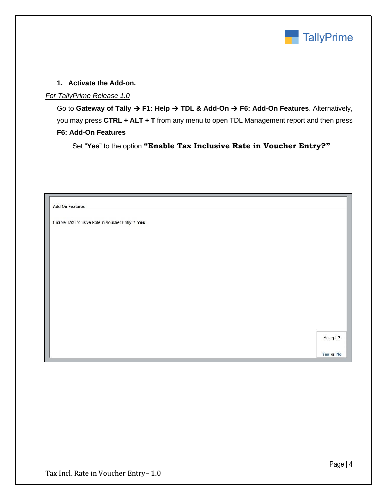

### **1. Activate the Add-on.**

## *For TallyPrime Release 1.0*

Go to **Gateway of Tally** → **F1: Help** → **TDL & Add-On** → **F6: Add-On Features**. Alternatively, you may press **CTRL + ALT + T** from any menu to open TDL Management report and then press **F6: Add-On Features**

Set "**Yes**" to the option **"Enable Tax Inclusive Rate in Voucher Entry?"**

| <b>Add-On Features</b>                           |          |
|--------------------------------------------------|----------|
| Enable TAX Inclusive Rate in Voucher Entry ? Yes |          |
|                                                  |          |
|                                                  |          |
|                                                  |          |
|                                                  |          |
|                                                  |          |
|                                                  |          |
|                                                  |          |
|                                                  |          |
|                                                  |          |
|                                                  |          |
|                                                  | Accept ? |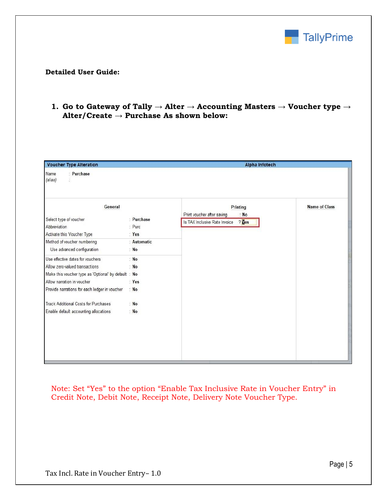

#### **Detailed User Guide:**

### **1. Go to Gateway of Tally → Alter → Accounting Masters → Voucher type → Alter/Create → Purchase As shown below:**

| <b>Voucher Type Alteration</b>                                                                                             |                               | <b>Alpha Infotech</b>                                                          |               |  |  |  |  |
|----------------------------------------------------------------------------------------------------------------------------|-------------------------------|--------------------------------------------------------------------------------|---------------|--|--|--|--|
| : Purchase<br>Name<br>(alias)<br>ă.                                                                                        |                               |                                                                                |               |  |  |  |  |
| General                                                                                                                    |                               | Printing                                                                       | Name of Class |  |  |  |  |
| Select type of voucher<br>Abbreviation<br>Activate this Voucher Type                                                       | : Purchase<br>: Purc<br>: Yes | Print voucher after saving<br>: No<br>$?$ Tes<br>Is TAX Inclusive Rate Invoice |               |  |  |  |  |
| Method of voucher numbering<br>Use advanced configuration                                                                  | : Automatic<br>: $No$         |                                                                                |               |  |  |  |  |
| Use effective dates for vouchers<br>Allow zero-valued transactions<br>Make this voucher type as 'Optional' by default : No | : $No$<br>: No                |                                                                                |               |  |  |  |  |
| Allow narration in voucher<br>Provide narrations for each ledger in voucher                                                | : Yes<br>: $No$               |                                                                                |               |  |  |  |  |
| <b>Track Additional Costs for Purchases</b><br>Enable default accounting allocations                                       | N <sub>o</sub><br>: $No$      |                                                                                |               |  |  |  |  |
|                                                                                                                            |                               |                                                                                |               |  |  |  |  |

Note: Set "Yes" to the option "Enable Tax Inclusive Rate in Voucher Entry" in Credit Note, Debit Note, Receipt Note, Delivery Note Voucher Type.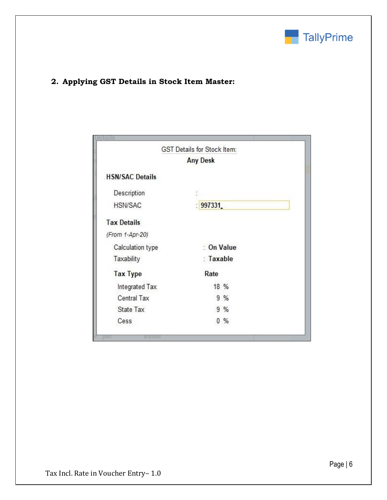

# **2. Applying GST Details in Stock Item Master:**

|                        | <b>GST Details for Stock Item:</b> |      |  |
|------------------------|------------------------------------|------|--|
|                        | <b>Any Desk</b>                    |      |  |
| <b>HSN/SAC Details</b> |                                    |      |  |
| Description            |                                    |      |  |
| HSN/SAC                | 997331                             |      |  |
| <b>Tax Details</b>     |                                    |      |  |
| (From 1-Apr-20)        |                                    |      |  |
| Calculation type       | : On Value                         |      |  |
| Taxability             | : Taxable                          |      |  |
| <b>Tax Type</b>        | Rate                               |      |  |
| Integrated Tax         |                                    | 18 % |  |
| Central Tax            |                                    | 9%   |  |
| State Tax              |                                    | 9%   |  |
| Cess                   |                                    | 0.%  |  |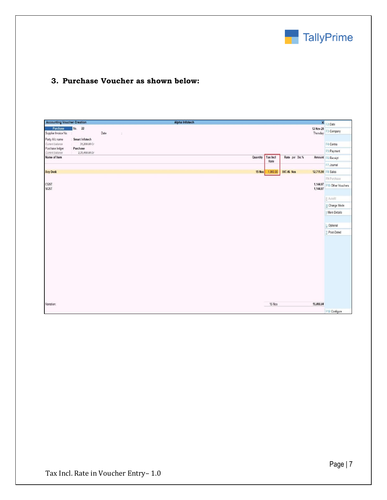

# **3. Purchase Voucher as shown below:**

| <b>Accounting Voucher Creation</b> |                                   |      |            |  | Alpha Infotech |  |          |                         |                 |                     | × F2:Date                         |
|------------------------------------|-----------------------------------|------|------------|--|----------------|--|----------|-------------------------|-----------------|---------------------|-----------------------------------|
| Purchase<br>Supplier Invoice No.   | No. 22<br>é                       | Date | $\lesssim$ |  |                |  |          |                         |                 |                     | 12-Nov-20<br>Thursday F3: Company |
| Party A/c name                     | Smart Infotech                    |      |            |  |                |  |          |                         |                 |                     |                                   |
| Current balance<br>Purchase ledger | 31,200.00 Cr<br>ší.<br>: Purchase |      |            |  |                |  |          |                         |                 |                     | F4: Contra                        |
| Current balance                    | 2,35,460.00 Dr                    |      |            |  |                |  |          |                         |                 |                     | F5: Payment                       |
| Name of Item                       |                                   |      |            |  |                |  | Quantity | <b>Tax Incl</b><br>Rate | Rate per Disc % |                     | Amount F6: Receipt                |
|                                    |                                   |      |            |  |                |  |          |                         |                 |                     | F7: Journal                       |
| <b>Any Desk</b>                    |                                   |      |            |  |                |  | 15 Nos   | 1,000.00                | 847.46 Nos      | 12,711.90 F8: Sales |                                   |
|                                    |                                   |      |            |  |                |  |          |                         |                 |                     | F9: Purchase                      |
| <b>CGST</b><br><b>SGST</b>         |                                   |      |            |  |                |  |          |                         |                 | 1,144.07            | 1,144.07 F10: Other Vouchers      |
|                                    |                                   |      |            |  |                |  |          |                         |                 |                     |                                   |
|                                    |                                   |      |            |  |                |  |          |                         |                 |                     | E: Autofill                       |
|                                    |                                   |      |            |  |                |  |          |                         |                 |                     | H: Change Mode                    |
|                                    |                                   |      |            |  |                |  |          |                         |                 |                     | I: More Details                   |
|                                    |                                   |      |            |  |                |  |          |                         |                 |                     |                                   |
|                                    |                                   |      |            |  |                |  |          |                         |                 |                     | L: Optional                       |
|                                    |                                   |      |            |  |                |  |          |                         |                 |                     | T: Post-Dated                     |
|                                    |                                   |      |            |  |                |  |          |                         |                 |                     |                                   |
|                                    |                                   |      |            |  |                |  |          |                         |                 |                     |                                   |
|                                    |                                   |      |            |  |                |  |          |                         |                 |                     |                                   |
|                                    |                                   |      |            |  |                |  |          |                         |                 |                     |                                   |
|                                    |                                   |      |            |  |                |  |          |                         |                 |                     |                                   |
|                                    |                                   |      |            |  |                |  |          |                         |                 |                     |                                   |
|                                    |                                   |      |            |  |                |  |          |                         |                 |                     |                                   |
|                                    |                                   |      |            |  |                |  |          |                         |                 |                     |                                   |
|                                    |                                   |      |            |  |                |  |          |                         |                 |                     |                                   |
|                                    |                                   |      |            |  |                |  |          |                         |                 |                     |                                   |
| Narration:                         |                                   |      |            |  |                |  |          | 15 Nos                  |                 | 15,000.04           |                                   |
|                                    |                                   |      |            |  |                |  |          |                         |                 |                     | F12: Configure                    |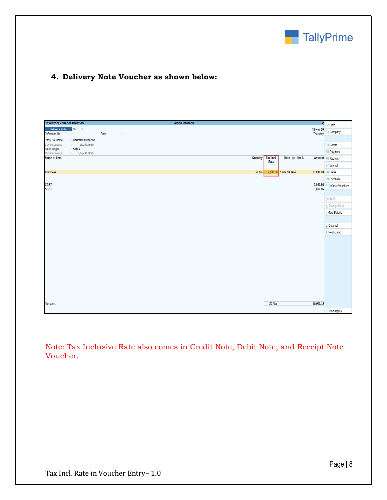

## **4. Delivery Note Voucher as shown below:**

| <b>Inventory Voucher Creation</b>    |                          |      |                | Alpha Infotech |          |                 |                       | $\pmb{\times}$        | F2:Date                      |
|--------------------------------------|--------------------------|------|----------------|----------------|----------|-----------------|-----------------------|-----------------------|------------------------------|
| <b>Delivery Note</b><br>Reference No | No. 3                    | Date | $\hat{\omega}$ |                |          |                 |                       | 12-Nov-20<br>Thursday | F3: Company                  |
| Party A/c name                       | <b>Bhumit Enterprise</b> |      |                |                |          |                 |                       |                       |                              |
| Current balance<br>Sales ledger      | 29,239.00 Dr<br>Sales    |      |                |                |          |                 |                       |                       | F4: Contra                   |
| Current balance                      | 8,07,498.00 Cr<br>- 951  |      |                |                |          |                 |                       |                       | F5: Payment                  |
| Name of Item                         |                          |      |                |                | Quantity | <b>Tax Incl</b> | Rate per Disc %       |                       | Amount F6: Receipt           |
|                                      |                          |      |                |                |          | Rate            |                       |                       | F7: Journal                  |
| <b>Any Desk</b>                      |                          |      |                |                | 20 Nos   |                 | 2,000.00 1,694.92 Nos | 33,898.40 F8: Sales   |                              |
|                                      |                          |      |                |                |          |                 |                       |                       | F9: Purchase                 |
| CGST                                 |                          |      |                |                |          |                 |                       |                       | 3,050.86 F10: Other Vouchers |
| <b>SGST</b>                          |                          |      |                |                |          |                 |                       | 3,050.86              |                              |
|                                      |                          |      |                |                |          |                 |                       |                       | E: Autofill                  |
|                                      |                          |      |                |                |          |                 |                       |                       |                              |
|                                      |                          |      |                |                |          |                 |                       |                       | H: Change Mode               |
|                                      |                          |      |                |                |          |                 |                       |                       | I: More Details              |
|                                      |                          |      |                |                |          |                 |                       |                       |                              |
|                                      |                          |      |                |                |          |                 |                       |                       | L: Optional                  |
|                                      |                          |      |                |                |          |                 |                       |                       | T: Post-Dated                |
|                                      |                          |      |                |                |          |                 |                       |                       |                              |
|                                      |                          |      |                |                |          |                 |                       |                       |                              |
|                                      |                          |      |                |                |          |                 |                       |                       |                              |
|                                      |                          |      |                |                |          |                 |                       |                       |                              |
|                                      |                          |      |                |                |          |                 |                       |                       |                              |
|                                      |                          |      |                |                |          |                 |                       |                       |                              |
|                                      |                          |      |                |                |          |                 |                       |                       |                              |
|                                      |                          |      |                |                |          |                 |                       |                       |                              |
|                                      |                          |      |                |                |          |                 |                       |                       |                              |
|                                      |                          |      |                |                |          |                 |                       |                       |                              |
| Narration:                           |                          |      |                |                |          | 20 Nos          |                       | 40,000.12             |                              |
|                                      |                          |      |                |                |          |                 |                       |                       | F12: Configure               |

Note: Tax Inclusive Rate also comes in Credit Note, Debit Note, and Receipt Note Voucher.

Page | 8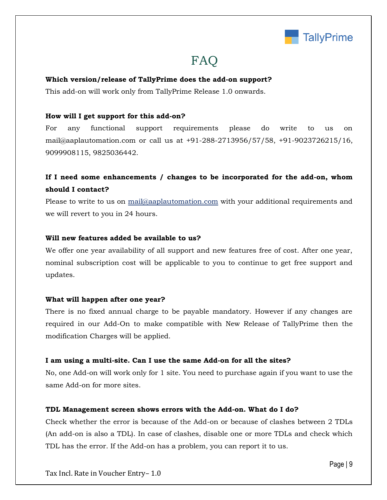

# **FAQ**

#### **Which version/release of TallyPrime does the add-on support?**

This add-on will work only from TallyPrime Release 1.0 onwards.

#### **How will I get support for this add-on?**

For any functional support requirements please do write to us on mail@aaplautomation.com or call us at +91-288-2713956/57/58, +91-9023726215/16, 9099908115, 9825036442.

# **If I need some enhancements / changes to be incorporated for the add-on, whom should I contact?**

Please to write to us on mail@aaplautomation.com with your additional requirements and we will revert to you in 24 hours.

#### **Will new features added be available to us?**

We offer one year availability of all support and new features free of cost. After one year, nominal subscription cost will be applicable to you to continue to get free support and updates.

#### **What will happen after one year?**

There is no fixed annual charge to be payable mandatory. However if any changes are required in our Add-On to make compatible with New Release of TallyPrime then the modification Charges will be applied.

#### **I am using a multi-site. Can I use the same Add-on for all the sites?**

No, one Add-on will work only for 1 site. You need to purchase again if you want to use the same Add-on for more sites.

#### **TDL Management screen shows errors with the Add-on. What do I do?**

Check whether the error is because of the Add-on or because of clashes between 2 TDLs (An add-on is also a TDL). In case of clashes, disable one or more TDLs and check which TDL has the error. If the Add-on has a problem, you can report it to us.